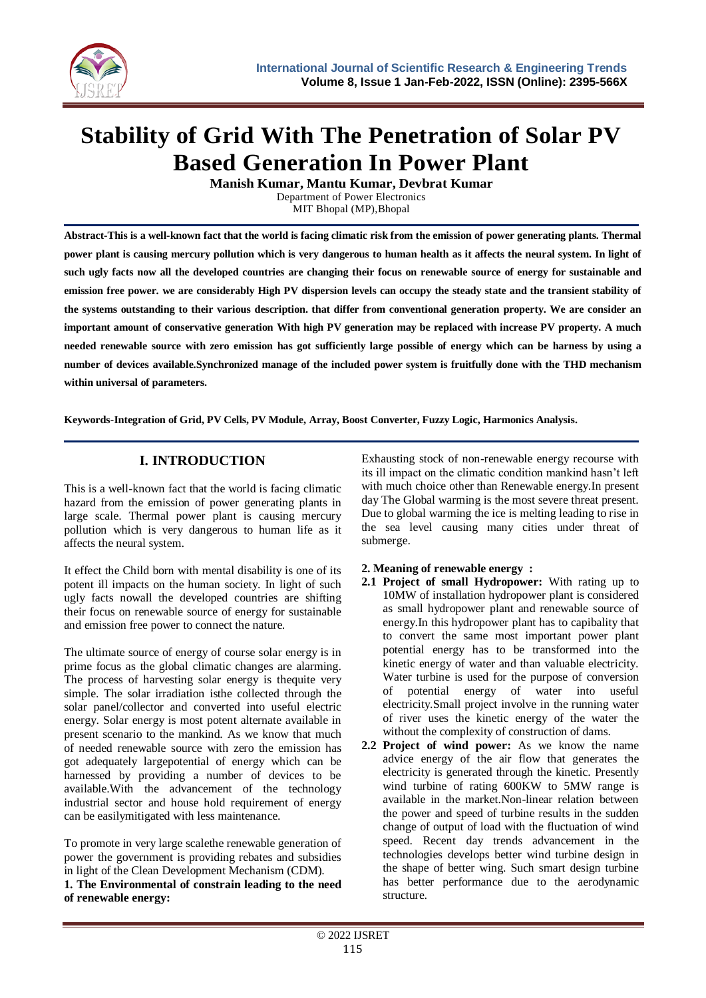

# **Stability of Grid With The Penetration of Solar PV Based Generation In Power Plant**

**Manish Kumar, Mantu Kumar, Devbrat Kumar** Department of Power Electronics

MIT Bhopal (MP),Bhopal

**Abstract-This is a well-known fact that the world is facing climatic risk from the emission of power generating plants. Thermal power plant is causing mercury pollution which is very dangerous to human health as it affects the neural system. In light of such ugly facts now all the developed countries are changing their focus on renewable source of energy for sustainable and emission free power. we are considerably High PV dispersion levels can occupy the steady state and the transient stability of the systems outstanding to their various description. that differ from conventional generation property. We are consider an important amount of conservative generation With high PV generation may be replaced with increase PV property. A much needed renewable source with zero emission has got sufficiently large possible of energy which can be harness by using a number of devices available.Synchronized manage of the included power system is fruitfully done with the THD mechanism within universal of parameters.**

**Keywords-Integration of Grid, PV Cells, PV Module, Array, Boost Converter, Fuzzy Logic, Harmonics Analysis.**

# **I. INTRODUCTION**

This is a well-known fact that the world is facing climatic hazard from the emission of power generating plants in large scale. Thermal power plant is causing mercury pollution which is very dangerous to human life as it affects the neural system.

It effect the Child born with mental disability is one of its potent ill impacts on the human society. In light of such ugly facts nowall the developed countries are shifting their focus on renewable source of energy for sustainable and emission free power to connect the nature.

The ultimate source of energy of course solar energy is in prime focus as the global climatic changes are alarming. The process of harvesting solar energy is thequite very simple. The solar irradiation isthe collected through the solar panel/collector and converted into useful electric energy. Solar energy is most potent alternate available in present scenario to the mankind. As we know that much of needed renewable source with zero the emission has got adequately largepotential of energy which can be harnessed by providing a number of devices to be available.With the advancement of the technology industrial sector and house hold requirement of energy can be easilymitigated with less maintenance.

To promote in very large scalethe renewable generation of power the government is providing rebates and subsidies in light of the Clean Development Mechanism (CDM).

**1. The Environmental of constrain leading to the need of renewable energy:**

Exhausting stock of non-renewable energy recourse with its ill impact on the climatic condition mankind hasn't left with much choice other than Renewable energy.In present day The Global warming is the most severe threat present. Due to global warming the ice is melting leading to rise in the sea level causing many cities under threat of submerge.

# **2. Meaning of renewable energy :**

- **2.1 Project of small Hydropower:** With rating up to 10MW of installation hydropower plant is considered as small hydropower plant and renewable source of energy.In this hydropower plant has to capibality that to convert the same most important power plant potential energy has to be transformed into the kinetic energy of water and than valuable electricity. Water turbine is used for the purpose of conversion of potential energy of water into useful electricity.Small project involve in the running water of river uses the kinetic energy of the water the without the complexity of construction of dams.
- **2.2 Project of wind power:** As we know the name advice energy of the air flow that generates the electricity is generated through the kinetic. Presently wind turbine of rating 600KW to 5MW range is available in the market.Non-linear relation between the power and speed of turbine results in the sudden change of output of load with the fluctuation of wind speed. Recent day trends advancement in the technologies develops better wind turbine design in the shape of better wing. Such smart design turbine has better performance due to the aerodynamic structure.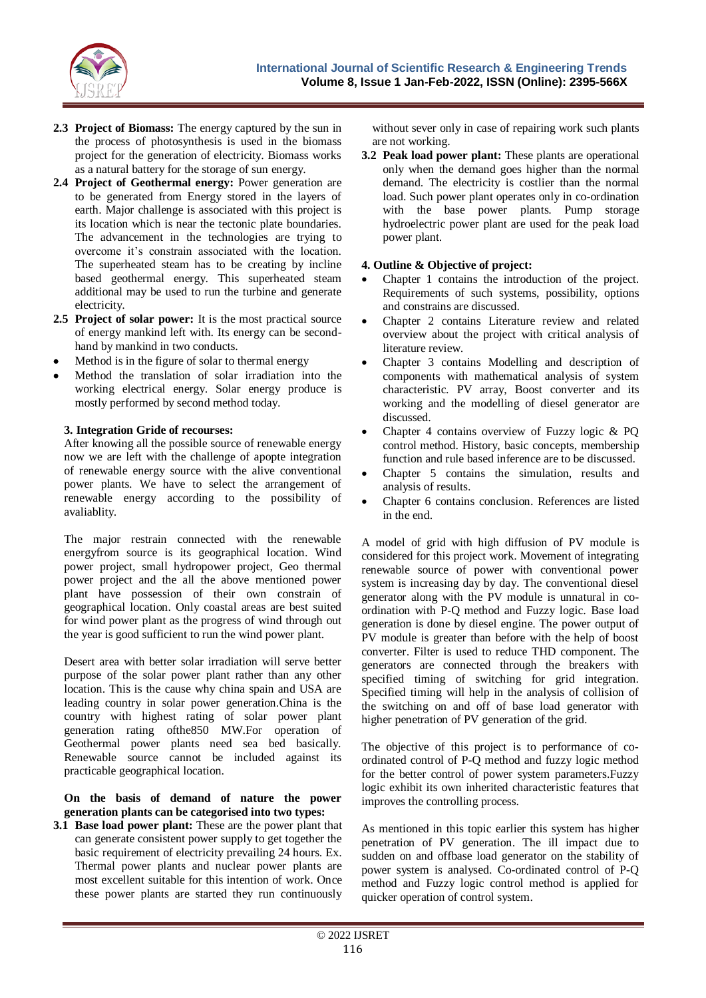

- **2.3 Project of Biomass:** The energy captured by the sun in the process of photosynthesis is used in the biomass project for the generation of electricity. Biomass works as a natural battery for the storage of sun energy.
- **2.4 Project of Geothermal energy:** Power generation are to be generated from Energy stored in the layers of earth. Major challenge is associated with this project is its location which is near the tectonic plate boundaries. The advancement in the technologies are trying to overcome it's constrain associated with the location. The superheated steam has to be creating by incline based geothermal energy. This superheated steam additional may be used to run the turbine and generate electricity.
- **2.5 Project of solar power:** It is the most practical source of energy mankind left with. Its energy can be secondhand by mankind in two conducts.
- Method is in the figure of solar to thermal energy
- Method the translation of solar irradiation into the working electrical energy. Solar energy produce is mostly performed by second method today.

## **3. Integration Gride of recourses:**

After knowing all the possible source of renewable energy now we are left with the challenge of apopte integration of renewable energy source with the alive conventional power plants. We have to select the arrangement of renewable energy according to the possibility of avaliablity.

The major restrain connected with the renewable energyfrom source is its geographical location. Wind power project, small hydropower project, Geo thermal power project and the all the above mentioned power plant have possession of their own constrain of geographical location. Only coastal areas are best suited for wind power plant as the progress of wind through out the year is good sufficient to run the wind power plant.

Desert area with better solar irradiation will serve better purpose of the solar power plant rather than any other location. This is the cause why china spain and USA are leading country in solar power generation.China is the country with highest rating of solar power plant generation rating ofthe850 MW.For operation of Geothermal power plants need sea bed basically. Renewable source cannot be included against its practicable geographical location.

#### **On the basis of demand of nature the power generation plants can be categorised into two types:**

**3.1 Base load power plant:** These are the power plant that can generate consistent power supply to get together the basic requirement of electricity prevailing 24 hours. Ex. Thermal power plants and nuclear power plants are most excellent suitable for this intention of work. Once these power plants are started they run continuously

without sever only in case of repairing work such plants are not working.

**3.2 Peak load power plant:** These plants are operational only when the demand goes higher than the normal demand. The electricity is costlier than the normal load. Such power plant operates only in co-ordination with the base power plants. Pump storage hydroelectric power plant are used for the peak load power plant.

## **4. Outline & Objective of project:**

- Chapter 1 contains the introduction of the project. Requirements of such systems, possibility, options and constrains are discussed.
- Chapter 2 contains Literature review and related overview about the project with critical analysis of literature review.
- Chapter 3 contains Modelling and description of components with mathematical analysis of system characteristic. PV array, Boost converter and its working and the modelling of diesel generator are discussed.
- Chapter 4 contains overview of Fuzzy logic & PQ control method. History, basic concepts, membership function and rule based inference are to be discussed.
- Chapter 5 contains the simulation, results and analysis of results.
- Chapter 6 contains conclusion. References are listed in the end.

A model of grid with high diffusion of PV module is considered for this project work. Movement of integrating renewable source of power with conventional power system is increasing day by day. The conventional diesel generator along with the PV module is unnatural in coordination with P-Q method and Fuzzy logic. Base load generation is done by diesel engine. The power output of PV module is greater than before with the help of boost converter. Filter is used to reduce THD component. The generators are connected through the breakers with specified timing of switching for grid integration. Specified timing will help in the analysis of collision of the switching on and off of base load generator with higher penetration of PV generation of the grid.

The objective of this project is to performance of coordinated control of P-Q method and fuzzy logic method for the better control of power system parameters.Fuzzy logic exhibit its own inherited characteristic features that improves the controlling process.

As mentioned in this topic earlier this system has higher penetration of PV generation. The ill impact due to sudden on and offbase load generator on the stability of power system is analysed. Co-ordinated control of P-Q method and Fuzzy logic control method is applied for quicker operation of control system.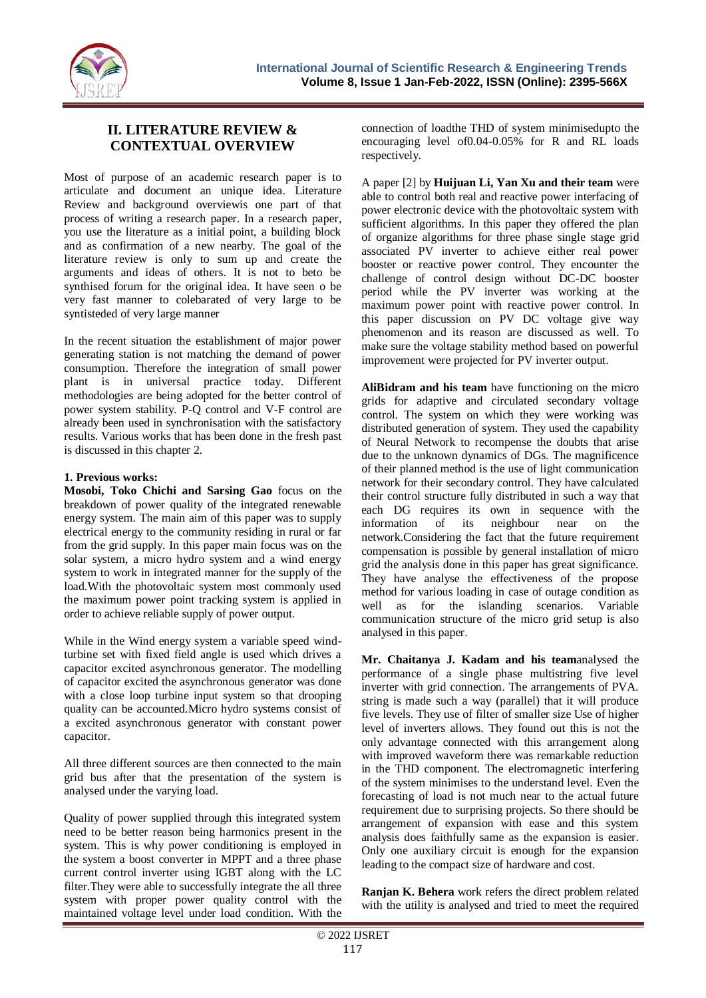

# **II. LITERATURE REVIEW & CONTEXTUAL OVERVIEW**

Most of purpose of an academic research paper is to articulate and document an unique idea. Literature Review and background overviewis one part of that process of writing a research paper. In a research paper, you use the literature as a initial point, a building block and as confirmation of a new nearby. The goal of the literature review is only to sum up and create the arguments and ideas of others. It is not to beto be synthised forum for the original idea. It have seen o be very fast manner to colebarated of very large to be syntisteded of very large manner

In the recent situation the establishment of major power generating station is not matching the demand of power consumption. Therefore the integration of small power plant is in universal practice today. Different methodologies are being adopted for the better control of power system stability. P-Q control and V-F control are already been used in synchronisation with the satisfactory results. Various works that has been done in the fresh past is discussed in this chapter 2.

## **1. Previous works:**

**Mosobi, Toko Chichi and Sarsing Gao** focus on the breakdown of power quality of the integrated renewable energy system. The main aim of this paper was to supply electrical energy to the community residing in rural or far from the grid supply. In this paper main focus was on the solar system, a micro hydro system and a wind energy system to work in integrated manner for the supply of the load.With the photovoltaic system most commonly used the maximum power point tracking system is applied in order to achieve reliable supply of power output.

While in the Wind energy system a variable speed windturbine set with fixed field angle is used which drives a capacitor excited asynchronous generator. The modelling of capacitor excited the asynchronous generator was done with a close loop turbine input system so that drooping quality can be accounted.Micro hydro systems consist of a excited asynchronous generator with constant power capacitor.

All three different sources are then connected to the main grid bus after that the presentation of the system is analysed under the varying load.

Quality of power supplied through this integrated system need to be better reason being harmonics present in the system. This is why power conditioning is employed in the system a boost converter in MPPT and a three phase current control inverter using IGBT along with the LC filter.They were able to successfully integrate the all three system with proper power quality control with the maintained voltage level under load condition. With the

connection of loadthe THD of system minimisedupto the encouraging level of0.04-0.05% for R and RL loads respectively.

A paper [2] by **Huijuan Li, Yan Xu and their team** were able to control both real and reactive power interfacing of power electronic device with the photovoltaic system with sufficient algorithms. In this paper they offered the plan of organize algorithms for three phase single stage grid associated PV inverter to achieve either real power booster or reactive power control. They encounter the challenge of control design without DC-DC booster period while the PV inverter was working at the maximum power point with reactive power control. In this paper discussion on PV DC voltage give way phenomenon and its reason are discussed as well. To make sure the voltage stability method based on powerful improvement were projected for PV inverter output.

**AliBidram and his team** have functioning on the micro grids for adaptive and circulated secondary voltage control. The system on which they were working was distributed generation of system. They used the capability of Neural Network to recompense the doubts that arise due to the unknown dynamics of DGs. The magnificence of their planned method is the use of light communication network for their secondary control. They have calculated their control structure fully distributed in such a way that each DG requires its own in sequence with the information of its neighbour near on the network.Considering the fact that the future requirement compensation is possible by general installation of micro grid the analysis done in this paper has great significance. They have analyse the effectiveness of the propose method for various loading in case of outage condition as well as for the islanding scenarios. Variable communication structure of the micro grid setup is also analysed in this paper.

**Mr. Chaitanya J. Kadam and his team**analysed the performance of a single phase multistring five level inverter with grid connection. The arrangements of PVA. string is made such a way (parallel) that it will produce five levels. They use of filter of smaller size Use of higher level of inverters allows. They found out this is not the only advantage connected with this arrangement along with improved waveform there was remarkable reduction in the THD component. The electromagnetic interfering of the system minimises to the understand level. Even the forecasting of load is not much near to the actual future requirement due to surprising projects. So there should be arrangement of expansion with ease and this system analysis does faithfully same as the expansion is easier. Only one auxiliary circuit is enough for the expansion leading to the compact size of hardware and cost.

**Ranjan K. Behera** work refers the direct problem related with the utility is analysed and tried to meet the required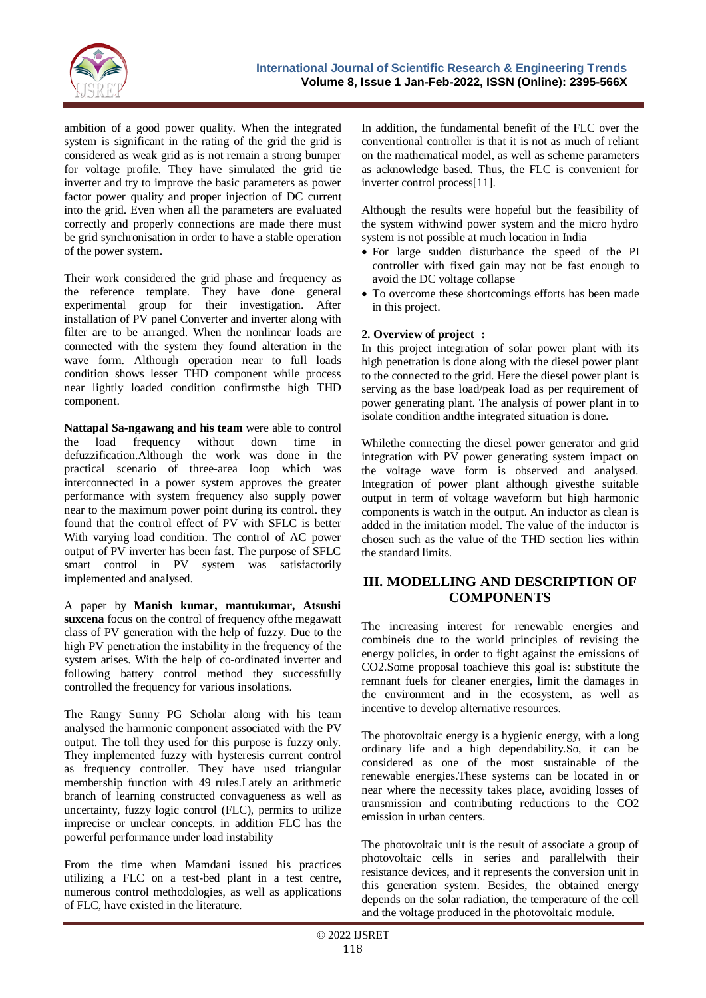

ambition of a good power quality. When the integrated system is significant in the rating of the grid the grid is considered as weak grid as is not remain a strong bumper for voltage profile. They have simulated the grid tie inverter and try to improve the basic parameters as power factor power quality and proper injection of DC current into the grid. Even when all the parameters are evaluated correctly and properly connections are made there must be grid synchronisation in order to have a stable operation of the power system.

Their work considered the grid phase and frequency as the reference template. They have done general experimental group for their investigation. After installation of PV panel Converter and inverter along with filter are to be arranged. When the nonlinear loads are connected with the system they found alteration in the wave form. Although operation near to full loads condition shows lesser THD component while process near lightly loaded condition confirmsthe high THD component.

**Nattapal Sa-ngawang and his team** were able to control the load frequency without down time in defuzzification.Although the work was done in the practical scenario of three-area loop which was interconnected in a power system approves the greater performance with system frequency also supply power near to the maximum power point during its control. they found that the control effect of PV with SFLC is better With varying load condition. The control of AC power output of PV inverter has been fast. The purpose of SFLC smart control in PV system was satisfactorily implemented and analysed.

A paper by **Manish kumar, mantukumar, Atsushi suxcena** focus on the control of frequency ofthe megawatt class of PV generation with the help of fuzzy. Due to the high PV penetration the instability in the frequency of the system arises. With the help of co-ordinated inverter and following battery control method they successfully controlled the frequency for various insolations.

The Rangy Sunny PG Scholar along with his team analysed the harmonic component associated with the PV output. The toll they used for this purpose is fuzzy only. They implemented fuzzy with hysteresis current control as frequency controller. They have used triangular membership function with 49 rules.Lately an arithmetic branch of learning constructed convagueness as well as uncertainty, fuzzy logic control (FLC), permits to utilize imprecise or unclear concepts. in addition FLC has the powerful performance under load instability

From the time when Mamdani issued his practices utilizing a FLC on a test-bed plant in a test centre, numerous control methodologies, as well as applications of FLC, have existed in the literature.

In addition, the fundamental benefit of the FLC over the conventional controller is that it is not as much of reliant on the mathematical model, as well as scheme parameters as acknowledge based. Thus, the FLC is convenient for inverter control process[11].

Although the results were hopeful but the feasibility of the system withwind power system and the micro hydro system is not possible at much location in India

- For large sudden disturbance the speed of the PI controller with fixed gain may not be fast enough to avoid the DC voltage collapse
- To overcome these shortcomings efforts has been made in this project.

# **2. Overview of project :**

In this project integration of solar power plant with its high penetration is done along with the diesel power plant to the connected to the grid. Here the diesel power plant is serving as the base load/peak load as per requirement of power generating plant. The analysis of power plant in to isolate condition andthe integrated situation is done.

Whilethe connecting the diesel power generator and grid integration with PV power generating system impact on the voltage wave form is observed and analysed. Integration of power plant although givesthe suitable output in term of voltage waveform but high harmonic components is watch in the output. An inductor as clean is added in the imitation model. The value of the inductor is chosen such as the value of the THD section lies within the standard limits.

# **III. MODELLING AND DESCRIPTION OF COMPONENTS**

The increasing interest for renewable energies and combineis due to the world principles of revising the energy policies, in order to fight against the emissions of CO2.Some proposal toachieve this goal is: substitute the remnant fuels for cleaner energies, limit the damages in the environment and in the ecosystem, as well as incentive to develop alternative resources.

The photovoltaic energy is a hygienic energy, with a long ordinary life and a high dependability.So, it can be considered as one of the most sustainable of the renewable energies.These systems can be located in or near where the necessity takes place, avoiding losses of transmission and contributing reductions to the CO2 emission in urban centers.

The photovoltaic unit is the result of associate a group of photovoltaic cells in series and parallelwith their resistance devices, and it represents the conversion unit in this generation system. Besides, the obtained energy depends on the solar radiation, the temperature of the cell and the voltage produced in the photovoltaic module.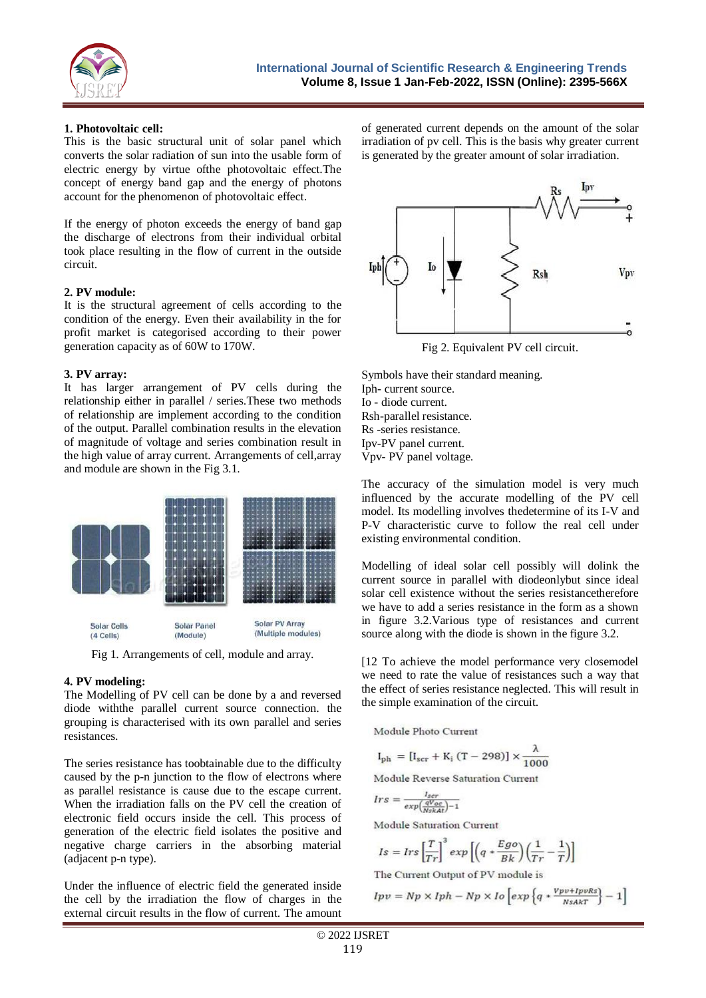

#### **1. Photovoltaic cell:**

This is the basic structural unit of solar panel which converts the solar radiation of sun into the usable form of electric energy by virtue ofthe photovoltaic effect.The concept of energy band gap and the energy of photons account for the phenomenon of photovoltaic effect.

If the energy of photon exceeds the energy of band gap the discharge of electrons from their individual orbital took place resulting in the flow of current in the outside circuit.

## **2. PV module:**

It is the structural agreement of cells according to the condition of the energy. Even their availability in the for profit market is categorised according to their power generation capacity as of 60W to 170W.

## **3. PV array:**

It has larger arrangement of PV cells during the relationship either in parallel / series.These two methods of relationship are implement according to the condition of the output. Parallel combination results in the elevation of magnitude of voltage and series combination result in the high value of array current. Arrangements of cell,array and module are shown in the Fig 3.1.



Fig 1. Arrangements of cell, module and array.

# **4. PV modeling:**

The Modelling of PV cell can be done by a and reversed diode withthe parallel current source connection. the grouping is characterised with its own parallel and series resistances.

The series resistance has toobtainable due to the difficulty caused by the p-n junction to the flow of electrons where as parallel resistance is cause due to the escape current. When the irradiation falls on the PV cell the creation of electronic field occurs inside the cell. This process of generation of the electric field isolates the positive and negative charge carriers in the absorbing material (adjacent p-n type).

Under the influence of electric field the generated inside the cell by the irradiation the flow of charges in the external circuit results in the flow of current. The amount

of generated current depends on the amount of the solar irradiation of pv cell. This is the basis why greater current is generated by the greater amount of solar irradiation.



Fig 2. Equivalent PV cell circuit.

Symbols have their standard meaning. Iph- current source. Io - diode current. Rsh-parallel resistance. Rs -series resistance. Ipv-PV panel current. Vpv- PV panel voltage.

The accuracy of the simulation model is very much influenced by the accurate modelling of the PV cell model. Its modelling involves thedetermine of its I-V and P-V characteristic curve to follow the real cell under existing environmental condition.

Modelling of ideal solar cell possibly will dolink the current source in parallel with diodeonlybut since ideal solar cell existence without the series resistancetherefore we have to add a series resistance in the form as a shown in figure 3.2.Various type of resistances and current source along with the diode is shown in the figure 3.2.

[12 To achieve the model performance very closemodel we need to rate the value of resistances such a way that the effect of series resistance neglected. This will result in the simple examination of the circuit.

Module Photo Current

$$
I_{\rm ph} = [I_{\rm scr} + K_{\rm i} (T - 298)] \times \frac{\lambda}{1000}
$$

Module Reverse Saturation Current

$$
Irs = \frac{I_{scr}}{exp(\frac{qV_{oc}}{Nskat}) - 1}
$$

Module Saturation Current

$$
Is = Irs \left[\frac{T}{Tr}\right]^3 exp\left[\left(q * \frac{Ego}{Bk}\right)\left(\frac{1}{Tr} - \frac{1}{T}\right)\right]
$$

The Current Output of PV module is

$$
Ipv = Np \times Iph - Np \times Io\left[ exp\left\{ q * \frac{Vpv + IpvRS}{NSART} \right\} - 1 \right]
$$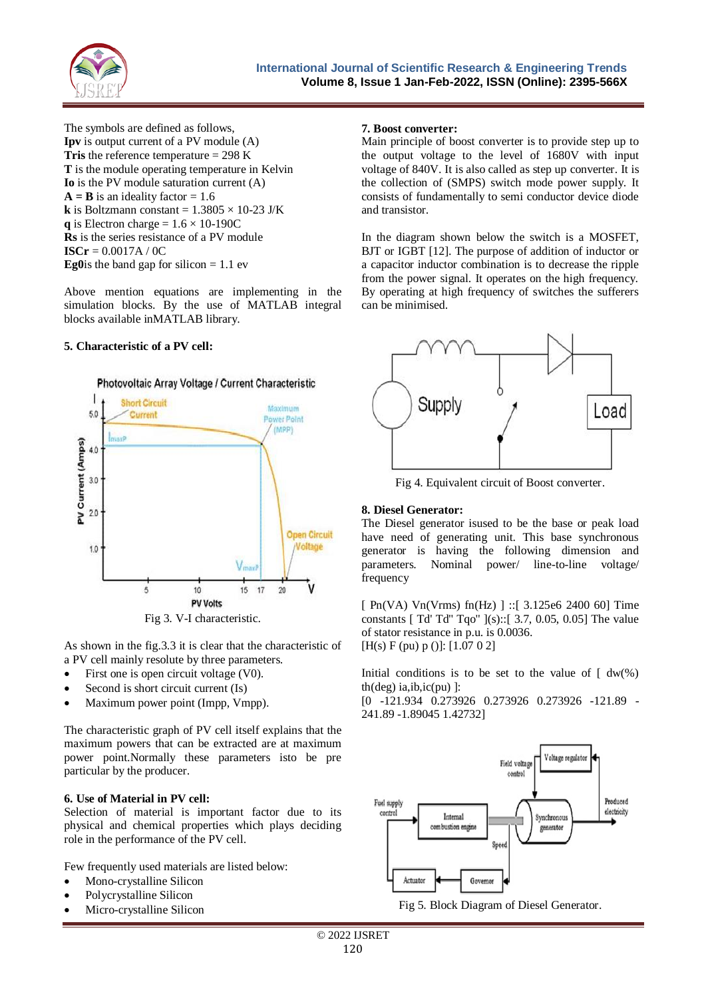

The symbols are defined as follows, **Ipv** is output current of a PV module (A) **Tris** the reference temperature = 298 K **T** is the module operating temperature in Kelvin **Io** is the PV module saturation current (A)  $A = B$  is an ideality factor = 1.6 **k** is Boltzmann constant =  $1.3805 \times 10-23$  J/K **q** is Electron charge =  $1.6 \times 10$ -190C **Rs** is the series resistance of a PV module **ISCr** = 0.0017A / 0C **Eg0**is the band gap for silicon  $= 1.1$  ev

Above mention equations are implementing in the simulation blocks. By the use of MATLAB integral blocks available inMATLAB library.

#### **5. Characteristic of a PV cell:**



As shown in the fig.3.3 it is clear that the characteristic of a PV cell mainly resolute by three parameters.

- First one is open circuit voltage (V0).
- Second is short circuit current (Is)
- Maximum power point (Impp, Vmpp).

The characteristic graph of PV cell itself explains that the maximum powers that can be extracted are at maximum power point.Normally these parameters isto be pre particular by the producer.

#### **6. Use of Material in PV cell:**

Selection of material is important factor due to its physical and chemical properties which plays deciding role in the performance of the PV cell.

Few frequently used materials are listed below:

- Mono-crystalline Silicon
- Polycrystalline Silicon
- Micro-crystalline Silicon

#### **7. Boost converter:**

Main principle of boost converter is to provide step up to the output voltage to the level of 1680V with input voltage of 840V. It is also called as step up converter. It is the collection of (SMPS) switch mode power supply. It consists of fundamentally to semi conductor device diode and transistor.

In the diagram shown below the switch is a MOSFET, BJT or IGBT [12]. The purpose of addition of inductor or a capacitor inductor combination is to decrease the ripple from the power signal. It operates on the high frequency. By operating at high frequency of switches the sufferers can be minimised.



Fig 4. Equivalent circuit of Boost converter.

#### **8. Diesel Generator:**

The Diesel generator isused to be the base or peak load have need of generating unit. This base synchronous generator is having the following dimension and parameters. Nominal power/ line-to-line voltage/ frequency

[ Pn(VA) Vn(Vrms) fn(Hz) ] ::[ 3.125e6 2400 60] Time constants [ Td' Td'' Tqo'' ](s)::[ 3.7, 0.05, 0.05] The value of stator resistance in p.u. is 0.0036. [H(s) F (pu) p ()]: [1.07 0 2]

Initial conditions is to be set to the value of  $\int dw(\%)$  $th(deg)$  ia,ib,ic(pu) ]:

[0 -121.934 0.273926 0.273926 0.273926 -121.89 - 241.89 -1.89045 1.42732]



Fig 5. Block Diagram of Diesel Generator.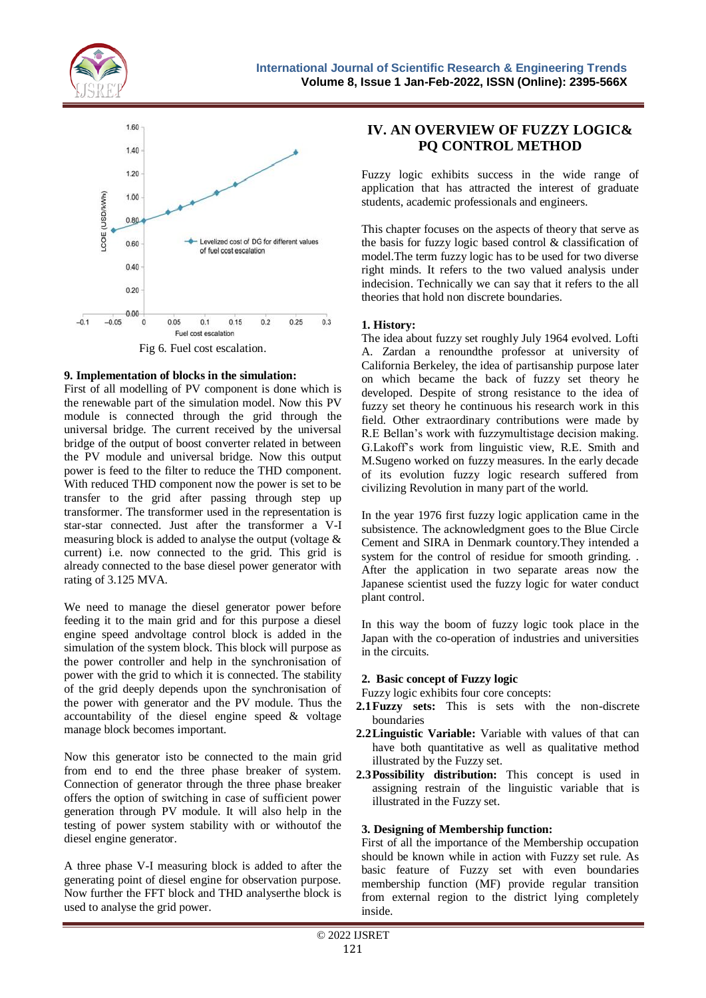



#### **9. Implementation of blocks in the simulation:**

First of all modelling of PV component is done which is the renewable part of the simulation model. Now this PV module is connected through the grid through the universal bridge. The current received by the universal bridge of the output of boost converter related in between the PV module and universal bridge. Now this output power is feed to the filter to reduce the THD component. With reduced THD component now the power is set to be transfer to the grid after passing through step up transformer. The transformer used in the representation is star-star connected. Just after the transformer a V-I measuring block is added to analyse the output (voltage & current) i.e. now connected to the grid. This grid is already connected to the base diesel power generator with rating of 3.125 MVA.

We need to manage the diesel generator power before feeding it to the main grid and for this purpose a diesel engine speed andvoltage control block is added in the simulation of the system block. This block will purpose as the power controller and help in the synchronisation of power with the grid to which it is connected. The stability of the grid deeply depends upon the synchronisation of the power with generator and the PV module. Thus the accountability of the diesel engine speed & voltage manage block becomes important.

Now this generator isto be connected to the main grid from end to end the three phase breaker of system. Connection of generator through the three phase breaker offers the option of switching in case of sufficient power generation through PV module. It will also help in the testing of power system stability with or withoutof the diesel engine generator.

A three phase V-I measuring block is added to after the generating point of diesel engine for observation purpose. Now further the FFT block and THD analyserthe block is used to analyse the grid power.

# **IV. AN OVERVIEW OF FUZZY LOGIC& PQ CONTROL METHOD**

Fuzzy logic exhibits success in the wide range of application that has attracted the interest of graduate students, academic professionals and engineers.

This chapter focuses on the aspects of theory that serve as the basis for fuzzy logic based control & classification of model.The term fuzzy logic has to be used for two diverse right minds. It refers to the two valued analysis under indecision. Technically we can say that it refers to the all theories that hold non discrete boundaries.

## **1. History:**

The idea about fuzzy set roughly July 1964 evolved. Lofti A. Zardan a renoundthe professor at university of California Berkeley, the idea of partisanship purpose later on which became the back of fuzzy set theory he developed. Despite of strong resistance to the idea of fuzzy set theory he continuous his research work in this field. Other extraordinary contributions were made by R.E Bellan's work with fuzzymultistage decision making. G.Lakoff's work from linguistic view, R.E. Smith and M.Sugeno worked on fuzzy measures. In the early decade of its evolution fuzzy logic research suffered from civilizing Revolution in many part of the world.

In the year 1976 first fuzzy logic application came in the subsistence. The acknowledgment goes to the Blue Circle Cement and SIRA in Denmark countory.They intended a system for the control of residue for smooth grinding. . After the application in two separate areas now the Japanese scientist used the fuzzy logic for water conduct plant control.

In this way the boom of fuzzy logic took place in the Japan with the co-operation of industries and universities in the circuits.

#### **2. Basic concept of Fuzzy logic**

Fuzzy logic exhibits four core concepts:

- **2.1Fuzzy sets:** This is sets with the non-discrete boundaries
- **2.2Linguistic Variable:** Variable with values of that can have both quantitative as well as qualitative method illustrated by the Fuzzy set.
- **2.3Possibility distribution:** This concept is used in assigning restrain of the linguistic variable that is illustrated in the Fuzzy set.

#### **3. Designing of Membership function:**

First of all the importance of the Membership occupation should be known while in action with Fuzzy set rule. As basic feature of Fuzzy set with even boundaries membership function (MF) provide regular transition from external region to the district lying completely inside.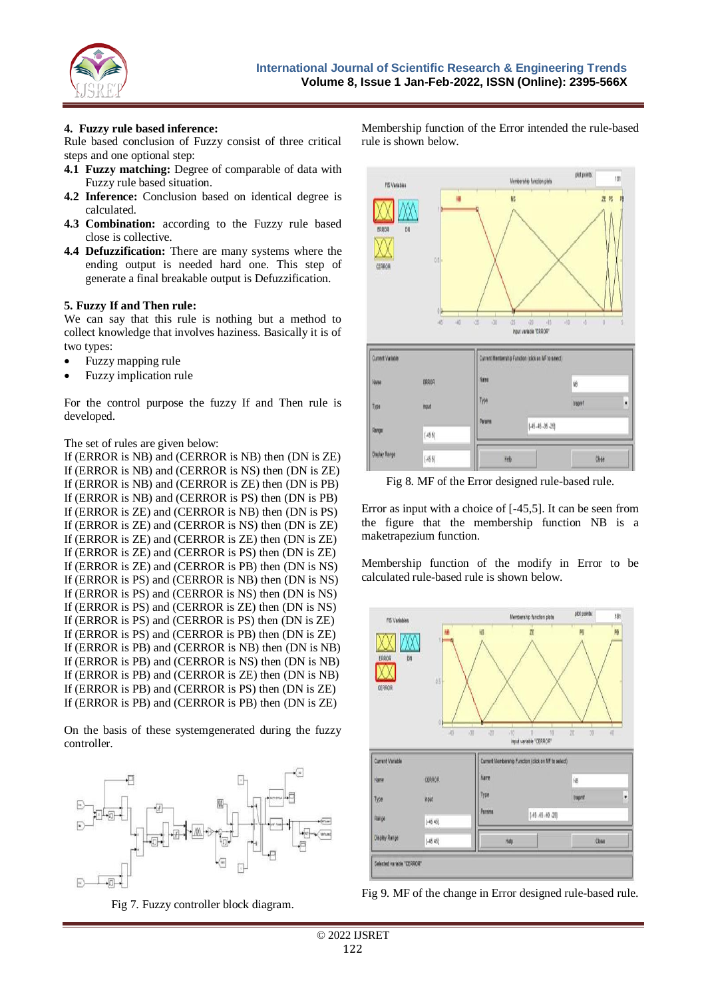

#### **4. Fuzzy rule based inference:**

Rule based conclusion of Fuzzy consist of three critical steps and one optional step:

- **4.1 Fuzzy matching:** Degree of comparable of data with Fuzzy rule based situation.
- **4.2 Inference:** Conclusion based on identical degree is calculated.
- **4.3 Combination:** according to the Fuzzy rule based close is collective.
- **4.4 Defuzzification:** There are many systems where the ending output is needed hard one. This step of generate a final breakable output is Defuzzification.

#### **5. Fuzzy If and Then rule:**

We can say that this rule is nothing but a method to collect knowledge that involves haziness. Basically it is of two types:

- Fuzzy mapping rule
- Fuzzy implication rule

For the control purpose the fuzzy If and Then rule is developed.

#### The set of rules are given below:

If (ERROR is NB) and (CERROR is NB) then (DN is ZE) If (ERROR is NB) and (CERROR is NS) then (DN is ZE) If (ERROR is NB) and (CERROR is ZE) then (DN is PB) If (ERROR is NB) and (CERROR is PS) then (DN is PB) If (ERROR is ZE) and (CERROR is NB) then (DN is PS) If (ERROR is ZE) and (CERROR is NS) then (DN is ZE) If (ERROR is ZE) and (CERROR is ZE) then (DN is ZE) If (ERROR is ZE) and (CERROR is PS) then (DN is ZE) If (ERROR is ZE) and (CERROR is PB) then (DN is NS) If (ERROR is PS) and (CERROR is NB) then (DN is NS) If (ERROR is PS) and (CERROR is NS) then (DN is NS) If (ERROR is PS) and (CERROR is ZE) then (DN is NS) If (ERROR is PS) and (CERROR is PS) then (DN is ZE) If (ERROR is PS) and (CERROR is PB) then (DN is ZE) If (ERROR is PB) and (CERROR is NB) then (DN is NB) If (ERROR is PB) and (CERROR is NS) then (DN is NB) If (ERROR is PB) and (CERROR is ZE) then (DN is NB) If (ERROR is PB) and (CERROR is PS) then (DN is ZE) If (ERROR is PB) and (CERROR is PB) then (DN is ZE)

On the basis of these systemgenerated during the fuzzy controller.



Fig 7. Fuzzy controller block diagram.

Membership function of the Error intended the rule-based rule is shown below.



Fig 8. MF of the Error designed rule-based rule.

Error as input with a choice of [-45,5]. It can be seen from the figure that the membership function NB is a maketrapezium function.

Membership function of the modify in Error to be calculated rule-based rule is shown below.



Fig 9. MF of the change in Error designed rule-based rule.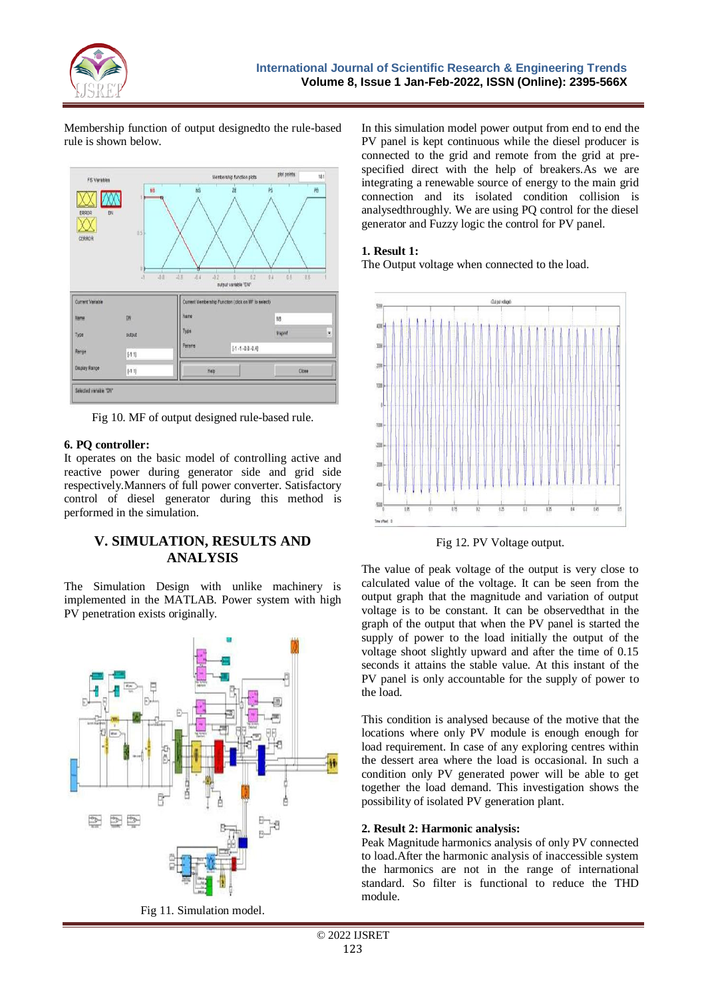

Membership function of output designedto the rule-based rule is shown below.



Fig 10. MF of output designed rule-based rule.

# **6. PQ controller:**

It operates on the basic model of controlling active and reactive power during generator side and grid side respectively.Manners of full power converter. Satisfactory control of diesel generator during this method is performed in the simulation.

# **V. SIMULATION, RESULTS AND ANALYSIS**

The Simulation Design with unlike machinery is implemented in the MATLAB. Power system with high PV penetration exists originally.



Fig 11. Simulation model.

In this simulation model power output from end to end the PV panel is kept continuous while the diesel producer is connected to the grid and remote from the grid at prespecified direct with the help of breakers.As we are integrating a renewable source of energy to the main grid connection and its isolated condition collision is analysedthroughly. We are using PQ control for the diesel generator and Fuzzy logic the control for PV panel.

## **1. Result 1:**

The Output voltage when connected to the load.



Fig 12. PV Voltage output.

The value of peak voltage of the output is very close to calculated value of the voltage. It can be seen from the output graph that the magnitude and variation of output voltage is to be constant. It can be observedthat in the graph of the output that when the PV panel is started the supply of power to the load initially the output of the voltage shoot slightly upward and after the time of 0.15 seconds it attains the stable value. At this instant of the PV panel is only accountable for the supply of power to the load.

This condition is analysed because of the motive that the locations where only PV module is enough enough for load requirement. In case of any exploring centres within the dessert area where the load is occasional. In such a condition only PV generated power will be able to get together the load demand. This investigation shows the possibility of isolated PV generation plant.

#### **2. Result 2: Harmonic analysis:**

Peak Magnitude harmonics analysis of only PV connected to load.After the harmonic analysis of inaccessible system the harmonics are not in the range of international standard. So filter is functional to reduce the THD module.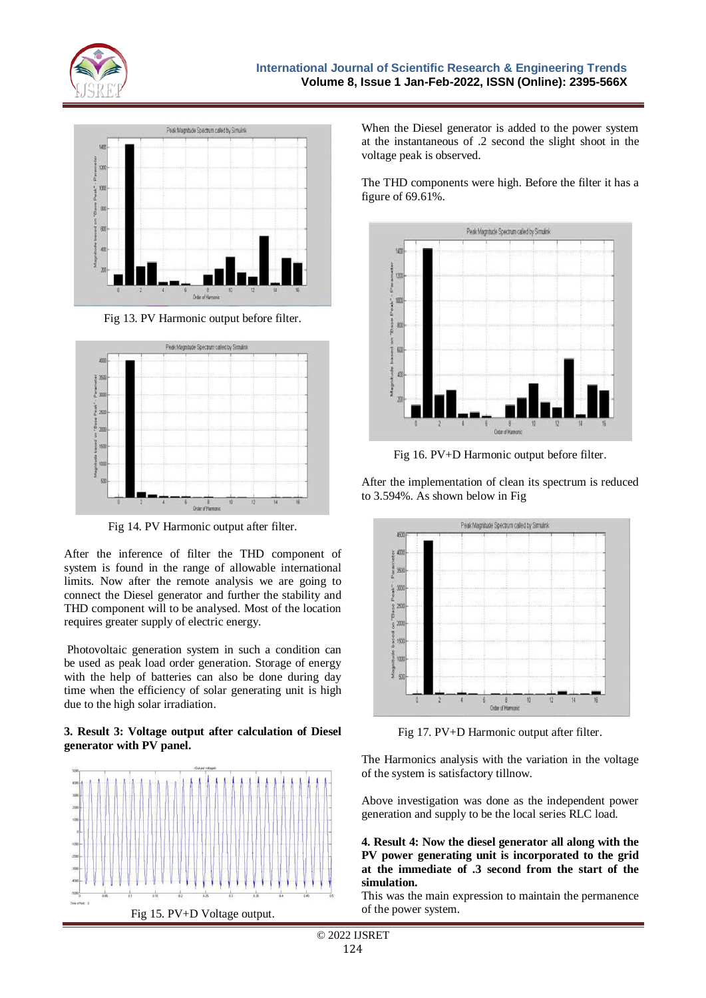



Fig 13. PV Harmonic output before filter.



Fig 14. PV Harmonic output after filter.

After the inference of filter the THD component of system is found in the range of allowable international limits. Now after the remote analysis we are going to connect the Diesel generator and further the stability and THD component will to be analysed. Most of the location requires greater supply of electric energy.

Photovoltaic generation system in such a condition can be used as peak load order generation. Storage of energy with the help of batteries can also be done during day time when the efficiency of solar generating unit is high due to the high solar irradiation.

#### **3. Result 3: Voltage output after calculation of Diesel generator with PV panel.**



When the Diesel generator is added to the power system at the instantaneous of .2 second the slight shoot in the voltage peak is observed.

The THD components were high. Before the filter it has a figure of 69.61%.



Fig 16. PV+D Harmonic output before filter.

After the implementation of clean its spectrum is reduced to 3.594%. As shown below in Fig



Fig 17. PV+D Harmonic output after filter.

The Harmonics analysis with the variation in the voltage of the system is satisfactory tillnow.

Above investigation was done as the independent power generation and supply to be the local series RLC load.

**4. Result 4: Now the diesel generator all along with the PV power generating unit is incorporated to the grid at the immediate of .3 second from the start of the simulation.**

This was the main expression to maintain the permanence of the power system.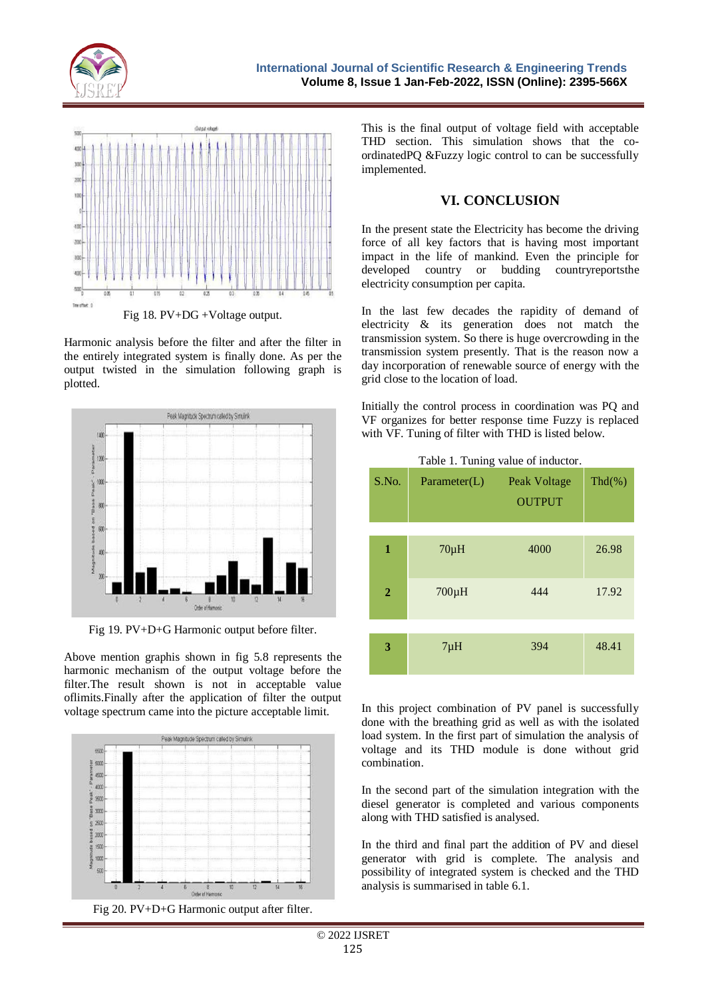



Fig 18. PV+DG +Voltage output.

Harmonic analysis before the filter and after the filter in the entirely integrated system is finally done. As per the output twisted in the simulation following graph is plotted.



Fig 19. PV+D+G Harmonic output before filter.

Above mention graphis shown in fig 5.8 represents the harmonic mechanism of the output voltage before the filter.The result shown is not in acceptable value oflimits.Finally after the application of filter the output voltage spectrum came into the picture acceptable limit.



Fig 20. PV+D+G Harmonic output after filter.

This is the final output of voltage field with acceptable THD section. This simulation shows that the coordinatedPQ &Fuzzy logic control to can be successfully implemented.

# **VI. CONCLUSION**

In the present state the Electricity has become the driving force of all key factors that is having most important impact in the life of mankind. Even the principle for developed country or budding countryreportsthe electricity consumption per capita.

In the last few decades the rapidity of demand of electricity & its generation does not match the transmission system. So there is huge overcrowding in the transmission system presently. That is the reason now a day incorporation of renewable source of energy with the grid close to the location of load.

Initially the control process in coordination was PQ and VF organizes for better response time Fuzzy is replaced with VF. Tuning of filter with THD is listed below.

| S.No.          | ັ<br>Parameter(L) | Peak Voltage<br><b>OUTPUT</b> | $Thd(\% )$ |
|----------------|-------------------|-------------------------------|------------|
| 1              | $70\mu H$         | 4000                          | 26.98      |
| $\overline{2}$ | $700\mu H$        | 444                           | 17.92      |
| 3              | $7\mu H$          | 394                           | 48.41      |

Table 1. Tuning value of inductor.

In this project combination of PV panel is successfully done with the breathing grid as well as with the isolated load system. In the first part of simulation the analysis of voltage and its THD module is done without grid combination.

In the second part of the simulation integration with the diesel generator is completed and various components along with THD satisfied is analysed.

In the third and final part the addition of PV and diesel generator with grid is complete. The analysis and possibility of integrated system is checked and the THD analysis is summarised in table 6.1.